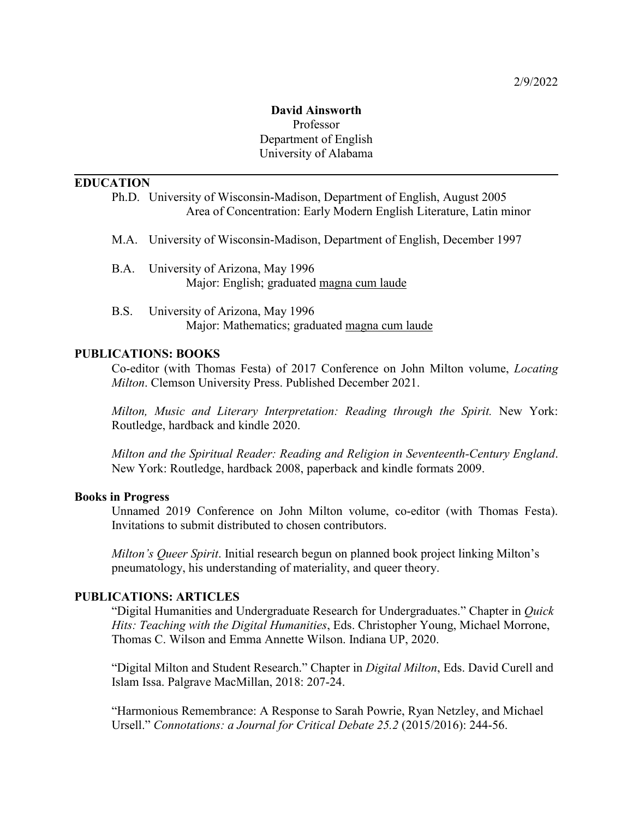### **David Ainsworth** Professor Department of English University of Alabama

#### **EDUCATION**

|                                                                                                                                                                                            |      | Ph.D. University of Wisconsin-Madison, Department of English, August 2005<br>Area of Concentration: Early Modern English Literature, Latin minor |
|--------------------------------------------------------------------------------------------------------------------------------------------------------------------------------------------|------|--------------------------------------------------------------------------------------------------------------------------------------------------|
|                                                                                                                                                                                            |      | M.A. University of Wisconsin-Madison, Department of English, December 1997                                                                       |
|                                                                                                                                                                                            | B.A. | University of Arizona, May 1996<br>Major: English; graduated magna cum laude                                                                     |
|                                                                                                                                                                                            | B.S. | University of Arizona, May 1996<br>Major: Mathematics; graduated magna cum laude                                                                 |
| <b>PUBLICATIONS: BOOKS</b><br>Co-editor (with Thomas Festa) of 2017 Conference on John Milton volume, <i>Locating</i><br><i>Milton.</i> Clemson University Press. Published December 2021. |      |                                                                                                                                                  |
|                                                                                                                                                                                            |      | $M(L,\dots,M,\dots)$ . If $L$ is an interest of $\mathbf{D}$ , $J$ is a contribution of $L$ and $\mathbf{M}$ and $\mathbf{M}$ . In               |

*Milton, Music and Literary Interpretation: Reading through the Spirit.* New York: Routledge, hardback and kindle 2020.

*Milton and the Spiritual Reader: Reading and Religion in Seventeenth-Century England*. New York: Routledge, hardback 2008, paperback and kindle formats 2009.

#### **Books in Progress**

Unnamed 2019 Conference on John Milton volume, co-editor (with Thomas Festa). Invitations to submit distributed to chosen contributors.

*Milton's Queer Spirit*. Initial research begun on planned book project linking Milton's pneumatology, his understanding of materiality, and queer theory.

#### **PUBLICATIONS: ARTICLES**

"Digital Humanities and Undergraduate Research for Undergraduates." Chapter in *Quick Hits: Teaching with the Digital Humanities*, Eds. Christopher Young, Michael Morrone, Thomas C. Wilson and Emma Annette Wilson. Indiana UP, 2020.

"Digital Milton and Student Research." Chapter in *Digital Milton*, Eds. David Curell and Islam Issa. Palgrave MacMillan, 2018: 207-24.

"Harmonious Remembrance: A Response to Sarah Powrie, Ryan Netzley, and Michael Ursell." *Connotations: a Journal for Critical Debate 25.2* (2015/2016): 244-56.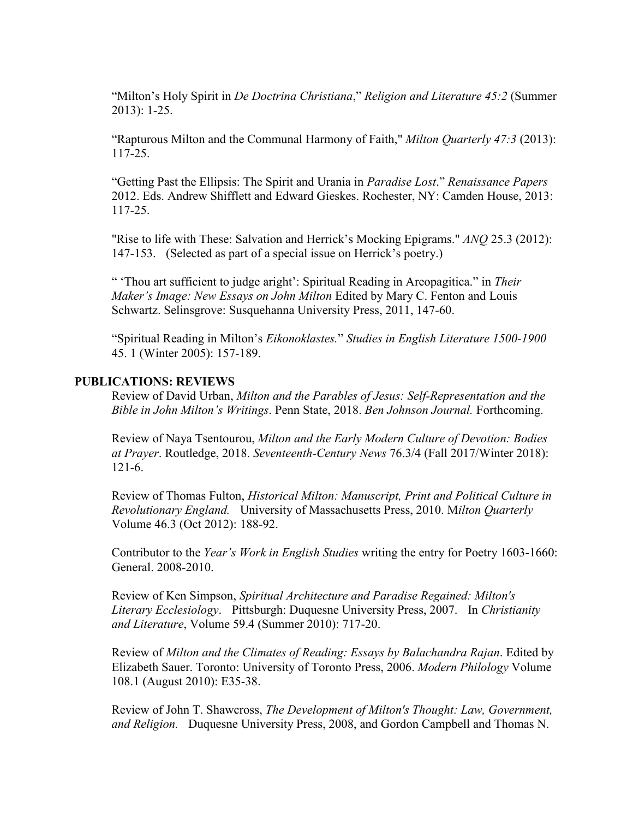"Milton's Holy Spirit in *De Doctrina Christiana*," *Religion and Literature 45:2* (Summer 2013): 1-25.

"Rapturous Milton and the Communal Harmony of Faith," *Milton Quarterly 47:3* (2013): 117-25.

"Getting Past the Ellipsis: The Spirit and Urania in *Paradise Lost*." *Renaissance Papers* 2012. Eds. Andrew Shifflett and Edward Gieskes. Rochester, NY: Camden House, 2013: 117-25.

"Rise to life with These: Salvation and Herrick's Mocking Epigrams." *ANQ* 25.3 (2012): 147-153. (Selected as part of a special issue on Herrick's poetry.)

" 'Thou art sufficient to judge aright': Spiritual Reading in Areopagitica." in *Their Maker's Image: New Essays on John Milton* Edited by Mary C. Fenton and Louis Schwartz. Selinsgrove: Susquehanna University Press, 2011, 147-60.

"Spiritual Reading in Milton's *Eikonoklastes.*" *Studies in English Literature 1500-1900*  45. 1 (Winter 2005): 157-189.

#### **PUBLICATIONS: REVIEWS**

Review of David Urban, *Milton and the Parables of Jesus: Self-Representation and the Bible in John Milton's Writings*. Penn State, 2018. *Ben Johnson Journal.* Forthcoming.

Review of Naya Tsentourou, *Milton and the Early Modern Culture of Devotion: Bodies at Prayer*. Routledge, 2018. *Seventeenth-Century News* 76.3/4 (Fall 2017/Winter 2018): 121-6.

Review of Thomas Fulton, *Historical Milton: Manuscript, Print and Political Culture in Revolutionary England.* University of Massachusetts Press, 2010. M*ilton Quarterly* Volume 46.3 (Oct 2012): 188-92.

Contributor to the *Year's Work in English Studies* writing the entry for Poetry 1603-1660: General. 2008-2010.

Review of Ken Simpson, *Spiritual Architecture and Paradise Regained: Milton's Literary Ecclesiology*. Pittsburgh: Duquesne University Press, 2007. In *Christianity and Literature*, Volume 59.4 (Summer 2010): 717-20.

Review of *Milton and the Climates of Reading: Essays by Balachandra Rajan*. Edited by Elizabeth Sauer. Toronto: University of Toronto Press, 2006. *Modern Philology* Volume 108.1 (August 2010): E35-38.

Review of John T. Shawcross, *The Development of Milton's Thought: Law, Government, and Religion.* Duquesne University Press, 2008, and Gordon Campbell and Thomas N.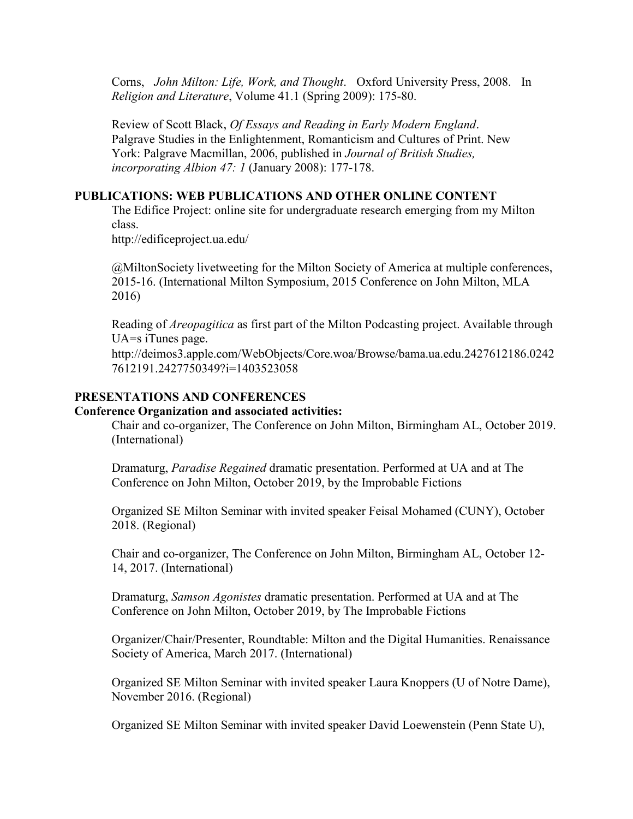Corns, *John Milton: Life, Work, and Thought*. Oxford University Press, 2008. In *Religion and Literature*, Volume 41.1 (Spring 2009): 175-80.

Review of Scott Black, *Of Essays and Reading in Early Modern England*. Palgrave Studies in the Enlightenment, Romanticism and Cultures of Print. New York: Palgrave Macmillan, 2006, published in *Journal of British Studies, incorporating Albion 47: 1* (January 2008): 177-178.

#### **PUBLICATIONS: WEB PUBLICATIONS AND OTHER ONLINE CONTENT**

The Edifice Project: online site for undergraduate research emerging from my Milton class.

http://edificeproject.ua.edu/

@MiltonSociety livetweeting for the Milton Society of America at multiple conferences, 2015-16. (International Milton Symposium, 2015 Conference on John Milton, MLA 2016)

Reading of *Areopagitica* as first part of the Milton Podcasting project. Available through UA=s iTunes page.

http://deimos3.apple.com/WebObjects/Core.woa/Browse/bama.ua.edu.2427612186.0242 7612191.2427750349?i=1403523058

#### **PRESENTATIONS AND CONFERENCES**

#### **Conference Organization and associated activities:**

Chair and co-organizer, The Conference on John Milton, Birmingham AL, October 2019. (International)

Dramaturg, *Paradise Regained* dramatic presentation. Performed at UA and at The Conference on John Milton, October 2019, by the Improbable Fictions

Organized SE Milton Seminar with invited speaker Feisal Mohamed (CUNY), October 2018. (Regional)

Chair and co-organizer, The Conference on John Milton, Birmingham AL, October 12- 14, 2017. (International)

Dramaturg, *Samson Agonistes* dramatic presentation. Performed at UA and at The Conference on John Milton, October 2019, by The Improbable Fictions

Organizer/Chair/Presenter, Roundtable: Milton and the Digital Humanities. Renaissance Society of America, March 2017. (International)

Organized SE Milton Seminar with invited speaker Laura Knoppers (U of Notre Dame), November 2016. (Regional)

Organized SE Milton Seminar with invited speaker David Loewenstein (Penn State U),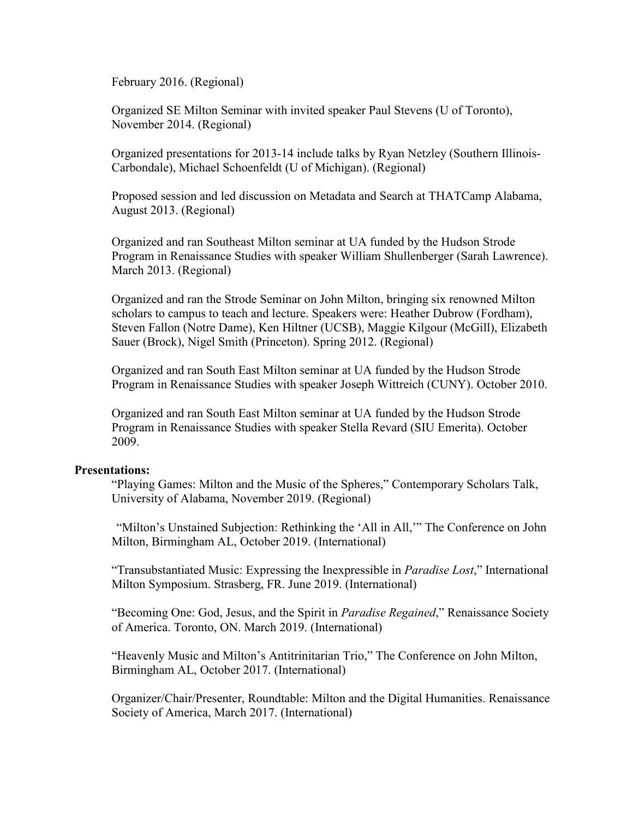February 2016. (Regional)

Organized SE Milton Seminar with invited speaker Paul Stevens (U of Toronto), November 2014. (Regional)

Organized presentations for 2013-14 include talks by Ryan Netzley (Southern Illinois-Carbondale), Michael Schoenfeldt (U of Michigan). (Regional)

Proposed session and led discussion on Metadata and Search at THATCamp Alabama, August 2013. (Regional)

Organized and ran Southeast Milton seminar at UA funded by the Hudson Strode Program in Renaissance Studies with speaker William Shullenberger (Sarah Lawrence). March 2013. (Regional)

Organized and ran the Strode Seminar on John Milton, bringing six renowned Milton scholars to campus to teach and lecture. Speakers were: Heather Dubrow (Fordham), Steven Fallon (Notre Dame), Ken Hiltner (UCSB), Maggie Kilgour (McGill), Elizabeth Sauer (Brock), Nigel Smith (Princeton). Spring 2012. (Regional)

Organized and ran South East Milton seminar at UA funded by the Hudson Strode Program in Renaissance Studies with speaker Joseph Wittreich (CUNY). October 2010.

Organized and ran South East Milton seminar at UA funded by the Hudson Strode Program in Renaissance Studies with speaker Stella Revard (SIU Emerita). October 2009.

#### **Presentations:**

"Playing Games: Milton and the Music of the Spheres," Contemporary Scholars Talk, University of Alabama, November 2019. (Regional)

"Milton's Unstained Subjection: Rethinking the 'All in All,'" The Conference on John Milton, Birmingham AL, October 2019. (International)

"Transubstantiated Music: Expressing the Inexpressible in *Paradise Lost*," International Milton Symposium. Strasberg, FR. June 2019. (International)

"Becoming One: God, Jesus, and the Spirit in *Paradise Regained*," Renaissance Society of America. Toronto, ON. March 2019. (International)

"Heavenly Music and Milton's Antitrinitarian Trio," The Conference on John Milton, Birmingham AL, October 2017. (International)

Organizer/Chair/Presenter, Roundtable: Milton and the Digital Humanities. Renaissance Society of America, March 2017. (International)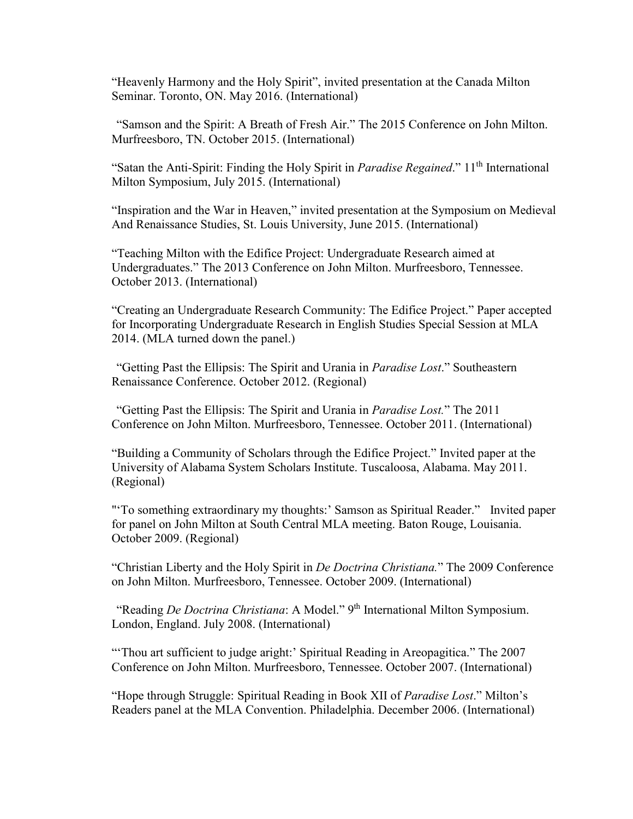"Heavenly Harmony and the Holy Spirit", invited presentation at the Canada Milton Seminar. Toronto, ON. May 2016. (International)

"Samson and the Spirit: A Breath of Fresh Air." The 2015 Conference on John Milton. Murfreesboro, TN. October 2015. (International)

"Satan the Anti-Spirit: Finding the Holy Spirit in *Paradise Regained*." 11<sup>th</sup> International Milton Symposium, July 2015. (International)

"Inspiration and the War in Heaven," invited presentation at the Symposium on Medieval And Renaissance Studies, St. Louis University, June 2015. (International)

"Teaching Milton with the Edifice Project: Undergraduate Research aimed at Undergraduates." The 2013 Conference on John Milton. Murfreesboro, Tennessee. October 2013. (International)

"Creating an Undergraduate Research Community: The Edifice Project." Paper accepted for Incorporating Undergraduate Research in English Studies Special Session at MLA 2014. (MLA turned down the panel.)

"Getting Past the Ellipsis: The Spirit and Urania in *Paradise Lost*." Southeastern Renaissance Conference. October 2012. (Regional)

"Getting Past the Ellipsis: The Spirit and Urania in *Paradise Lost.*" The 2011 Conference on John Milton. Murfreesboro, Tennessee. October 2011. (International)

"Building a Community of Scholars through the Edifice Project." Invited paper at the University of Alabama System Scholars Institute. Tuscaloosa, Alabama. May 2011. (Regional)

"'To something extraordinary my thoughts:' Samson as Spiritual Reader." Invited paper for panel on John Milton at South Central MLA meeting. Baton Rouge, Louisania. October 2009. (Regional)

"Christian Liberty and the Holy Spirit in *De Doctrina Christiana.*" The 2009 Conference on John Milton. Murfreesboro, Tennessee. October 2009. (International)

"Reading *De Doctrina Christiana*: A Model." 9<sup>th</sup> International Milton Symposium. London, England. July 2008. (International)

"'Thou art sufficient to judge aright:' Spiritual Reading in Areopagitica." The 2007 Conference on John Milton. Murfreesboro, Tennessee. October 2007. (International)

"Hope through Struggle: Spiritual Reading in Book XII of *Paradise Lost*." Milton's Readers panel at the MLA Convention. Philadelphia. December 2006. (International)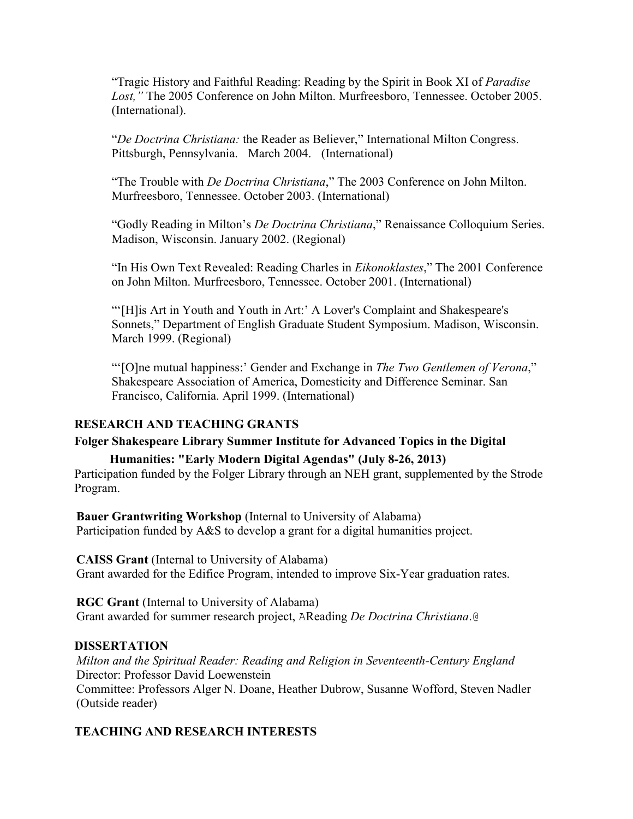"Tragic History and Faithful Reading: Reading by the Spirit in Book XI of *Paradise Lost,"* The 2005 Conference on John Milton. Murfreesboro, Tennessee. October 2005. (International).

"*De Doctrina Christiana:* the Reader as Believer," International Milton Congress. Pittsburgh, Pennsylvania. March 2004. (International)

"The Trouble with *De Doctrina Christiana*," The 2003 Conference on John Milton. Murfreesboro, Tennessee. October 2003. (International)

"Godly Reading in Milton's *De Doctrina Christiana*," Renaissance Colloquium Series. Madison, Wisconsin. January 2002. (Regional)

"In His Own Text Revealed: Reading Charles in *Eikonoklastes*," The 2001 Conference on John Milton. Murfreesboro, Tennessee. October 2001. (International)

"'[H]is Art in Youth and Youth in Art:' A Lover's Complaint and Shakespeare's Sonnets," Department of English Graduate Student Symposium. Madison, Wisconsin. March 1999. (Regional)

"'[O]ne mutual happiness:' Gender and Exchange in *The Two Gentlemen of Verona*," Shakespeare Association of America, Domesticity and Difference Seminar. San Francisco, California. April 1999. (International)

### **RESEARCH AND TEACHING GRANTS**

#### **Folger Shakespeare Library Summer Institute for Advanced Topics in the Digital**

**Humanities: "Early Modern Digital Agendas" (July 8-26, 2013)** Participation funded by the Folger Library through an NEH grant, supplemented by the Strode Program.

**Bauer Grantwriting Workshop** (Internal to University of Alabama) Participation funded by A&S to develop a grant for a digital humanities project.

**CAISS Grant** (Internal to University of Alabama) Grant awarded for the Edifice Program, intended to improve Six-Year graduation rates.

**RGC Grant** (Internal to University of Alabama) Grant awarded for summer research project, AReading *De Doctrina Christiana*.@

#### **DISSERTATION**

*Milton and the Spiritual Reader: Reading and Religion in Seventeenth-Century England* Director: Professor David Loewenstein Committee: Professors Alger N. Doane, Heather Dubrow, Susanne Wofford, Steven Nadler (Outside reader)

### **TEACHING AND RESEARCH INTERESTS**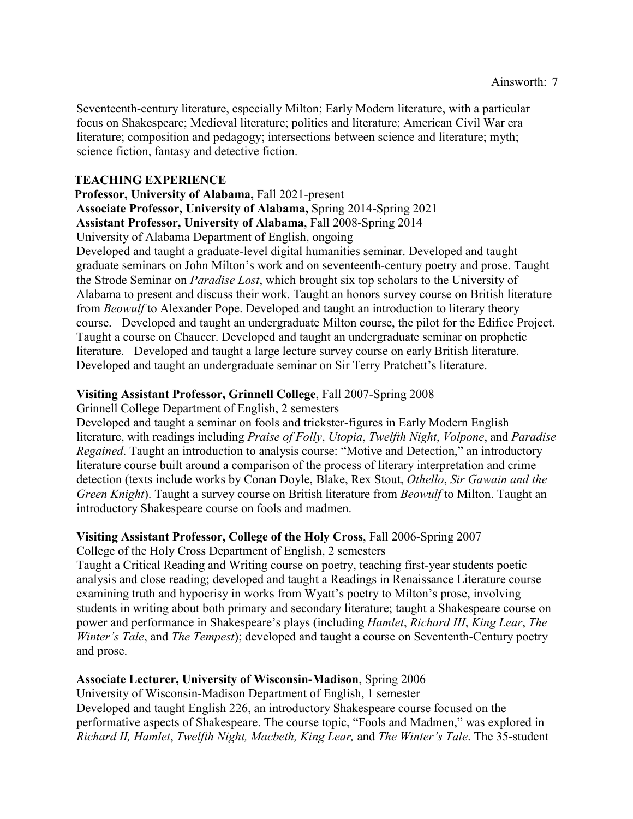Seventeenth-century literature, especially Milton; Early Modern literature, with a particular focus on Shakespeare; Medieval literature; politics and literature; American Civil War era literature; composition and pedagogy; intersections between science and literature; myth; science fiction, fantasy and detective fiction.

### **TEACHING EXPERIENCE**

**Professor, University of Alabama,** Fall 2021-present

**Associate Professor, University of Alabama,** Spring 2014-Spring 2021

**Assistant Professor, University of Alabama**, Fall 2008-Spring 2014

University of Alabama Department of English, ongoing

Developed and taught a graduate-level digital humanities seminar. Developed and taught graduate seminars on John Milton's work and on seventeenth-century poetry and prose. Taught the Strode Seminar on *Paradise Lost*, which brought six top scholars to the University of Alabama to present and discuss their work. Taught an honors survey course on British literature from *Beowulf* to Alexander Pope. Developed and taught an introduction to literary theory course. Developed and taught an undergraduate Milton course, the pilot for the Edifice Project. Taught a course on Chaucer. Developed and taught an undergraduate seminar on prophetic literature. Developed and taught a large lecture survey course on early British literature. Developed and taught an undergraduate seminar on Sir Terry Pratchett's literature.

# **Visiting Assistant Professor, Grinnell College**, Fall 2007-Spring 2008

Grinnell College Department of English, 2 semesters

Developed and taught a seminar on fools and trickster-figures in Early Modern English literature, with readings including *Praise of Folly*, *Utopia*, *Twelfth Night*, *Volpone*, and *Paradise Regained*. Taught an introduction to analysis course: "Motive and Detection," an introductory literature course built around a comparison of the process of literary interpretation and crime detection (texts include works by Conan Doyle, Blake, Rex Stout, *Othello*, *Sir Gawain and the Green Knight*). Taught a survey course on British literature from *Beowulf* to Milton. Taught an introductory Shakespeare course on fools and madmen.

### **Visiting Assistant Professor, College of the Holy Cross**, Fall 2006-Spring 2007

College of the Holy Cross Department of English, 2 semesters

Taught a Critical Reading and Writing course on poetry, teaching first-year students poetic analysis and close reading; developed and taught a Readings in Renaissance Literature course examining truth and hypocrisy in works from Wyatt's poetry to Milton's prose, involving students in writing about both primary and secondary literature; taught a Shakespeare course on power and performance in Shakespeare's plays (including *Hamlet*, *Richard III*, *King Lear*, *The Winter's Tale*, and *The Tempest*); developed and taught a course on Sevententh-Century poetry and prose.

# **Associate Lecturer, University of Wisconsin-Madison**, Spring 2006

University of Wisconsin-Madison Department of English, 1 semester Developed and taught English 226, an introductory Shakespeare course focused on the performative aspects of Shakespeare. The course topic, "Fools and Madmen," was explored in *Richard II, Hamlet*, *Twelfth Night, Macbeth, King Lear,* and *The Winter's Tale*. The 35-student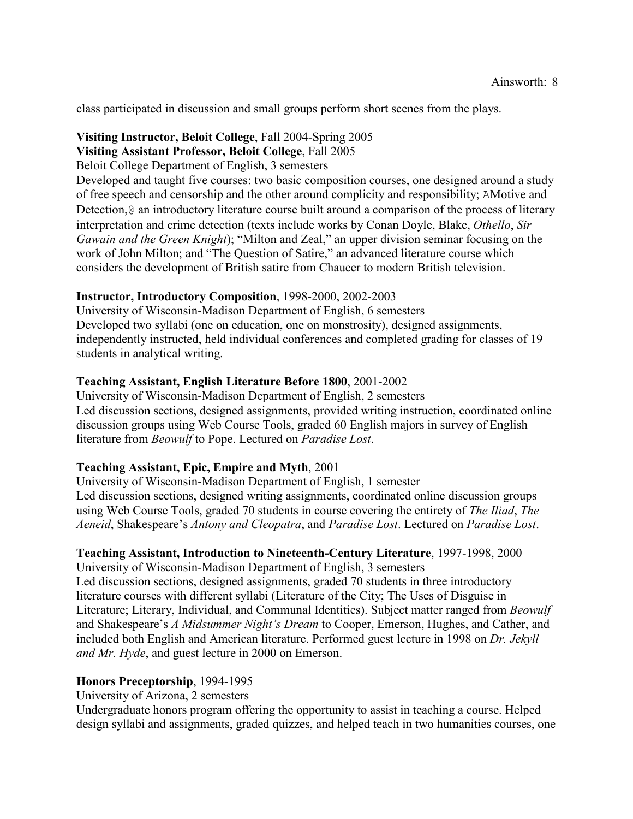class participated in discussion and small groups perform short scenes from the plays.

### **Visiting Instructor, Beloit College**, Fall 2004-Spring 2005

**Visiting Assistant Professor, Beloit College**, Fall 2005

Beloit College Department of English, 3 semesters

Developed and taught five courses: two basic composition courses, one designed around a study of free speech and censorship and the other around complicity and responsibility; AMotive and Detection,@ an introductory literature course built around a comparison of the process of literary interpretation and crime detection (texts include works by Conan Doyle, Blake, *Othello*, *Sir Gawain and the Green Knight*); "Milton and Zeal," an upper division seminar focusing on the work of John Milton; and "The Question of Satire," an advanced literature course which considers the development of British satire from Chaucer to modern British television.

### **Instructor, Introductory Composition**, 1998-2000, 2002-2003

University of Wisconsin-Madison Department of English, 6 semesters Developed two syllabi (one on education, one on monstrosity), designed assignments, independently instructed, held individual conferences and completed grading for classes of 19 students in analytical writing.

### **Teaching Assistant, English Literature Before 1800**, 2001-2002

University of Wisconsin-Madison Department of English, 2 semesters Led discussion sections, designed assignments, provided writing instruction, coordinated online discussion groups using Web Course Tools, graded 60 English majors in survey of English literature from *Beowulf* to Pope. Lectured on *Paradise Lost*.

#### **Teaching Assistant, Epic, Empire and Myth**, 2001

University of Wisconsin-Madison Department of English, 1 semester Led discussion sections, designed writing assignments, coordinated online discussion groups using Web Course Tools, graded 70 students in course covering the entirety of *The Iliad*, *The Aeneid*, Shakespeare's *Antony and Cleopatra*, and *Paradise Lost*. Lectured on *Paradise Lost*.

### **Teaching Assistant, Introduction to Nineteenth-Century Literature**, 1997-1998, 2000

University of Wisconsin-Madison Department of English, 3 semesters Led discussion sections, designed assignments, graded 70 students in three introductory literature courses with different syllabi (Literature of the City; The Uses of Disguise in Literature; Literary, Individual, and Communal Identities). Subject matter ranged from *Beowulf* and Shakespeare's *A Midsummer Night's Dream* to Cooper, Emerson, Hughes, and Cather, and included both English and American literature. Performed guest lecture in 1998 on *Dr. Jekyll and Mr. Hyde*, and guest lecture in 2000 on Emerson.

#### **Honors Preceptorship**, 1994-1995

University of Arizona, 2 semesters

Undergraduate honors program offering the opportunity to assist in teaching a course. Helped design syllabi and assignments, graded quizzes, and helped teach in two humanities courses, one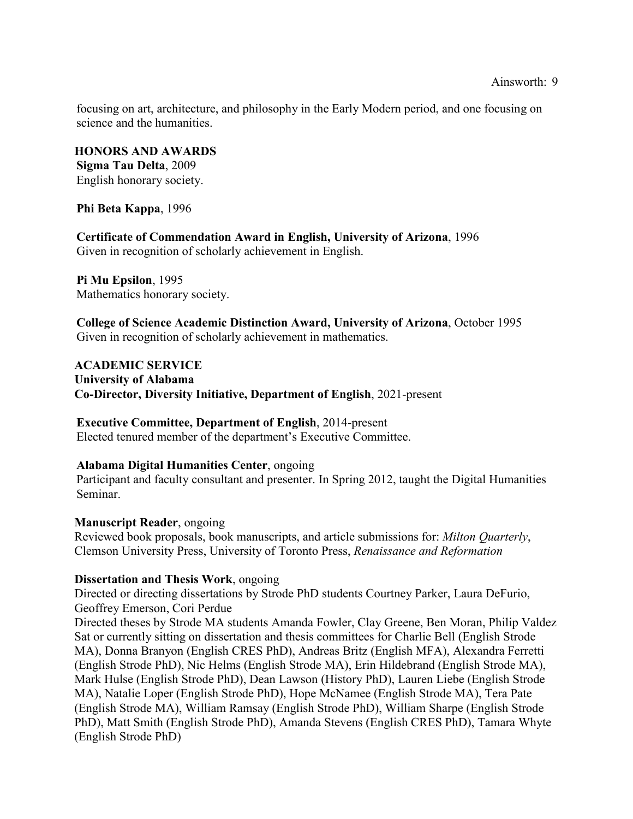Ainsworth: 9

focusing on art, architecture, and philosophy in the Early Modern period, and one focusing on science and the humanities.

**HONORS AND AWARDS Sigma Tau Delta**, 2009 English honorary society.

**Phi Beta Kappa**, 1996

**Certificate of Commendation Award in English, University of Arizona**, 1996 Given in recognition of scholarly achievement in English.

**Pi Mu Epsilon**, 1995 Mathematics honorary society.

**College of Science Academic Distinction Award, University of Arizona**, October 1995 Given in recognition of scholarly achievement in mathematics.

**ACADEMIC SERVICE University of Alabama Co-Director, Diversity Initiative, Department of English**, 2021-present

**Executive Committee, Department of English**, 2014-present Elected tenured member of the department's Executive Committee.

#### **Alabama Digital Humanities Center**, ongoing

Participant and faculty consultant and presenter. In Spring 2012, taught the Digital Humanities Seminar.

#### **Manuscript Reader**, ongoing

Reviewed book proposals, book manuscripts, and article submissions for: *Milton Quarterly*, Clemson University Press, University of Toronto Press, *Renaissance and Reformation*

#### **Dissertation and Thesis Work**, ongoing

Directed or directing dissertations by Strode PhD students Courtney Parker, Laura DeFurio, Geoffrey Emerson, Cori Perdue

Directed theses by Strode MA students Amanda Fowler, Clay Greene, Ben Moran, Philip Valdez Sat or currently sitting on dissertation and thesis committees for Charlie Bell (English Strode MA), Donna Branyon (English CRES PhD), Andreas Britz (English MFA), Alexandra Ferretti (English Strode PhD), Nic Helms (English Strode MA), Erin Hildebrand (English Strode MA), Mark Hulse (English Strode PhD), Dean Lawson (History PhD), Lauren Liebe (English Strode MA), Natalie Loper (English Strode PhD), Hope McNamee (English Strode MA), Tera Pate (English Strode MA), William Ramsay (English Strode PhD), William Sharpe (English Strode PhD), Matt Smith (English Strode PhD), Amanda Stevens (English CRES PhD), Tamara Whyte (English Strode PhD)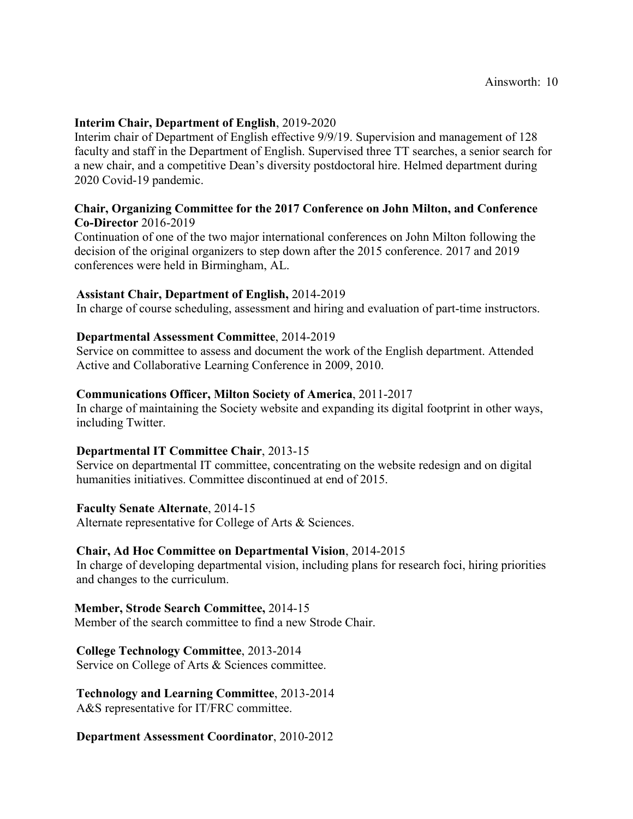### **Interim Chair, Department of English**, 2019-2020

Interim chair of Department of English effective 9/9/19. Supervision and management of 128 faculty and staff in the Department of English. Supervised three TT searches, a senior search for a new chair, and a competitive Dean's diversity postdoctoral hire. Helmed department during 2020 Covid-19 pandemic.

#### **Chair, Organizing Committee for the 2017 Conference on John Milton, and Conference Co-Director** 2016-2019

Continuation of one of the two major international conferences on John Milton following the decision of the original organizers to step down after the 2015 conference. 2017 and 2019 conferences were held in Birmingham, AL.

### **Assistant Chair, Department of English,** 2014-2019

In charge of course scheduling, assessment and hiring and evaluation of part-time instructors.

#### **Departmental Assessment Committee**, 2014-2019

Service on committee to assess and document the work of the English department. Attended Active and Collaborative Learning Conference in 2009, 2010.

#### **Communications Officer, Milton Society of America**, 2011-2017

In charge of maintaining the Society website and expanding its digital footprint in other ways, including Twitter.

#### **Departmental IT Committee Chair**, 2013-15

Service on departmental IT committee, concentrating on the website redesign and on digital humanities initiatives. Committee discontinued at end of 2015.

#### **Faculty Senate Alternate**, 2014-15

Alternate representative for College of Arts & Sciences.

#### **Chair, Ad Hoc Committee on Departmental Vision**, 2014-2015

In charge of developing departmental vision, including plans for research foci, hiring priorities and changes to the curriculum.

#### **Member, Strode Search Committee,** 2014-15

Member of the search committee to find a new Strode Chair.

#### **College Technology Committee**, 2013-2014

Service on College of Arts & Sciences committee.

# **Technology and Learning Committee**, 2013-2014

A&S representative for IT/FRC committee.

#### **Department Assessment Coordinator**, 2010-2012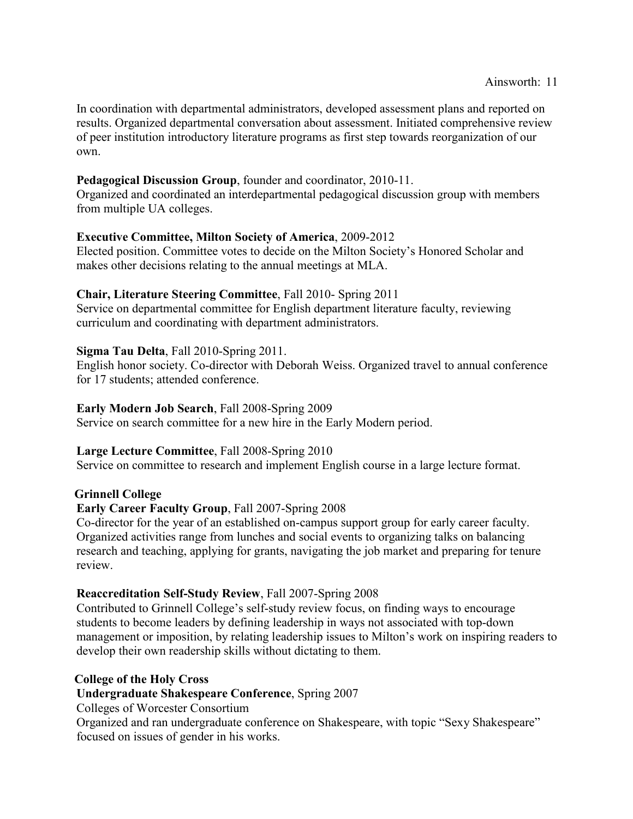In coordination with departmental administrators, developed assessment plans and reported on results. Organized departmental conversation about assessment. Initiated comprehensive review of peer institution introductory literature programs as first step towards reorganization of our own.

# **Pedagogical Discussion Group**, founder and coordinator, 2010-11.

Organized and coordinated an interdepartmental pedagogical discussion group with members from multiple UA colleges.

# **Executive Committee, Milton Society of America**, 2009-2012

Elected position. Committee votes to decide on the Milton Society's Honored Scholar and makes other decisions relating to the annual meetings at MLA.

### **Chair, Literature Steering Committee**, Fall 2010- Spring 2011

Service on departmental committee for English department literature faculty, reviewing curriculum and coordinating with department administrators.

# **Sigma Tau Delta**, Fall 2010-Spring 2011.

English honor society. Co-director with Deborah Weiss. Organized travel to annual conference for 17 students; attended conference.

### **Early Modern Job Search**, Fall 2008-Spring 2009

Service on search committee for a new hire in the Early Modern period.

### **Large Lecture Committee**, Fall 2008-Spring 2010

Service on committee to research and implement English course in a large lecture format.

### **Grinnell College**

### **Early Career Faculty Group**, Fall 2007-Spring 2008

Co-director for the year of an established on-campus support group for early career faculty. Organized activities range from lunches and social events to organizing talks on balancing research and teaching, applying for grants, navigating the job market and preparing for tenure review.

### **Reaccreditation Self-Study Review**, Fall 2007-Spring 2008

Contributed to Grinnell College's self-study review focus, on finding ways to encourage students to become leaders by defining leadership in ways not associated with top-down management or imposition, by relating leadership issues to Milton's work on inspiring readers to develop their own readership skills without dictating to them.

### **College of the Holy Cross**

**Undergraduate Shakespeare Conference**, Spring 2007

Colleges of Worcester Consortium

Organized and ran undergraduate conference on Shakespeare, with topic "Sexy Shakespeare" focused on issues of gender in his works.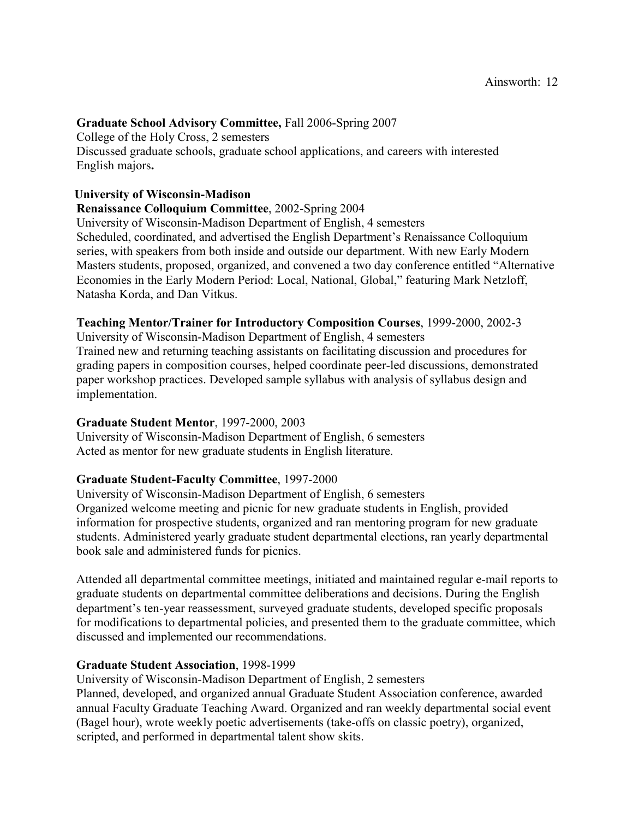### **Graduate School Advisory Committee,** Fall 2006-Spring 2007

College of the Holy Cross, 2 semesters Discussed graduate schools, graduate school applications, and careers with interested English majors**.**

### **University of Wisconsin-Madison**

### **Renaissance Colloquium Committee**, 2002-Spring 2004

University of Wisconsin-Madison Department of English, 4 semesters Scheduled, coordinated, and advertised the English Department's Renaissance Colloquium series, with speakers from both inside and outside our department. With new Early Modern Masters students, proposed, organized, and convened a two day conference entitled "Alternative Economies in the Early Modern Period: Local, National, Global," featuring Mark Netzloff, Natasha Korda, and Dan Vitkus.

### **Teaching Mentor/Trainer for Introductory Composition Courses**, 1999-2000, 2002-3

University of Wisconsin-Madison Department of English, 4 semesters Trained new and returning teaching assistants on facilitating discussion and procedures for grading papers in composition courses, helped coordinate peer-led discussions, demonstrated paper workshop practices. Developed sample syllabus with analysis of syllabus design and implementation.

#### **Graduate Student Mentor**, 1997-2000, 2003

University of Wisconsin-Madison Department of English, 6 semesters Acted as mentor for new graduate students in English literature.

### **Graduate Student-Faculty Committee**, 1997-2000

University of Wisconsin-Madison Department of English, 6 semesters Organized welcome meeting and picnic for new graduate students in English, provided information for prospective students, organized and ran mentoring program for new graduate students. Administered yearly graduate student departmental elections, ran yearly departmental book sale and administered funds for picnics.

Attended all departmental committee meetings, initiated and maintained regular e-mail reports to graduate students on departmental committee deliberations and decisions. During the English department's ten-year reassessment, surveyed graduate students, developed specific proposals for modifications to departmental policies, and presented them to the graduate committee, which discussed and implemented our recommendations.

### **Graduate Student Association**, 1998-1999

University of Wisconsin-Madison Department of English, 2 semesters

Planned, developed, and organized annual Graduate Student Association conference, awarded annual Faculty Graduate Teaching Award. Organized and ran weekly departmental social event (Bagel hour), wrote weekly poetic advertisements (take-offs on classic poetry), organized, scripted, and performed in departmental talent show skits.